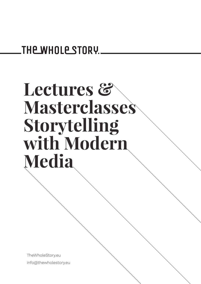## **THE WHOLE STORY.**

# **Lectures & Masterclasses Storytelling with Modern Media**

TheWholeStory.eu info@thewholestory.eu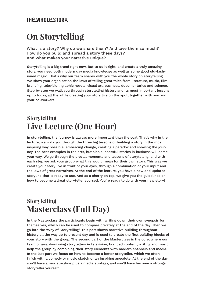#### **THE WHOLE STORY.**

## **On Storytelling**

What is a story? Why do we share them? And love them so much? How do you build and spread a story these days? And what makes your narrative unique?

Storytelling is a big trend right now. But to do it right, and create a truly amazing story, you need both modern day media knowledge as well as some good old-fashioned magic. That's why our team shares with you the whole story on storytelling. We show your organization the laws of telling great tales from literature, music, film, branding, television, graphic novels, visual art, business, documentaries and science. Step by step we walk you through storytelling history and its most important lessons up to today, all the while creating your story live on the spot, together with you and your co-workers.

## **Storytelling Live Lecture (One Hour)**

In storytelling, the journey is always more important than the goal. That's why in the lecture, we walk you through the three big lessons of building a story in the most inspiring way possible: embracing change, creating a paradox and showing the journey. The best examples in the arts, but also successful stories in business will come your way. We go through the pivotal moments and lessons of storytelling, and with each step we ask your group what this would mean for their own story. This way we create your story live in front of your eyes, through a combination of your input and the laws of great narratives. At the end of the lecture, you have a new and updated storyline that is ready to use. And as a cherry on top, we give you the guidelines on how to become a great storyteller yourself. You're ready to go with your new story!

## **Storytelling Masterclass (Full Day)**

In the Masterclass the participants begin with writing down their own synopsis for themselves, which can be used to compare privately at the end of the day. Then we go into the 'Why of Storytelling'. This part shows narrative building throughout history all the way up to present day and is used to create the first building blocks of your story with the group. The second part of the Masterclass is the core, where our team of award-winning storytellers in television, branded content, writing and music help the group by combining their story elements with modern channels and media. In the last part we focus on how to become a better storyteller, which we often finish with a comedy or music sketch or an inspiring anecdote. At the end of the day you'll have a new storyline plus a media strategy, and you'll have become a stronger storyteller yourself.